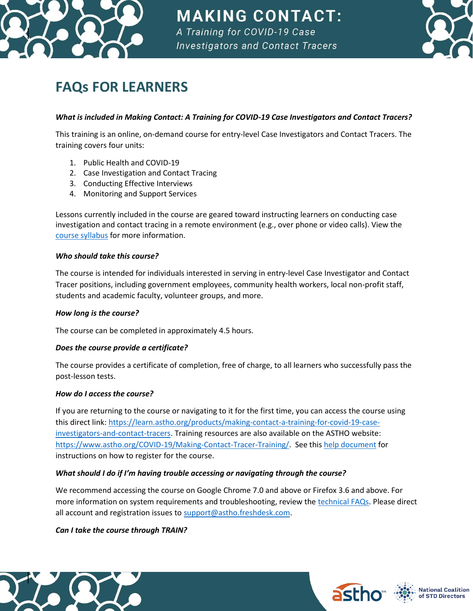

**MAKING CONTACT:** A Training for COVID-19 Case

**Investigators and Contact Tracers** 



# **FAQs FOR LEARNERS**

### *What is included in Making Contact: A Training for COVID-19 Case Investigators and Contact Tracers?*

This training is an online, on-demand course for entry-level Case Investigators and Contact Tracers. The training covers four units:

- 1. Public Health and COVID-19
- 2. Case Investigation and Contact Tracing
- 3. Conducting Effective Interviews
- 4. Monitoring and Support Services

Lessons currently included in the course are geared toward instructing learners on conducting case investigation and contact tracing in a remote environment (e.g., over phone or video calls). View the [course syllabus](https://www.astho.org/COVID-19/Making-Contact/Syllabus/) for more information.

#### *Who should take this course?*

The course is intended for individuals interested in serving in entry-level Case Investigator and Contact Tracer positions, including government employees, community health workers, local non-profit staff, students and academic faculty, volunteer groups, and more.

#### *How long is the course?*

The course can be completed in approximately 4.5 hours.

#### *Does the course provide a certificate?*

The course provides a certificate of completion, free of charge, to all learners who successfully pass the post-lesson tests.

#### *How do I access the course?*

If you are returning to the course or navigating to it for the first time, you can access the course using this direct link: [https://learn.astho.org/products/making-contact-a-training-for-covid-19-case](https://learn.astho.org/products/making-contact-a-training-for-covid-19-case-investigators-and-contact-tracers)[investigators-and-contact-tracers.](https://learn.astho.org/products/making-contact-a-training-for-covid-19-case-investigators-and-contact-tracers) Training resources are also available on the ASTHO website: [https://www.astho.org/COVID-19/Making-Contact-Tracer-Training/.](https://www.astho.org/COVID-19/Making-Contact-Tracer-Training/) See this [help document](https://higherlogicdownload.s3.amazonaws.com/ASTHO/UploadedImages/e410d2bd-798a-4664-bea2-0017f309eda2/COVID-19_Contact_Tracing_Training_Instructions.pdf) for instructions on how to register for the course.

#### *What should I do if I'm having trouble accessing or navigating through the course?*

We recommend accessing the course on Google Chrome 7.0 and above or Firefox 3.6 and above. For more information on system requirements and troubleshooting, review th[e technical FAQs.](https://learn.astho.org/contacttracingfaqs) Please direct all account and registration issues to [support@astho.freshdesk.com.](mailto:support@astho.freshdesk.com)

#### *Can I take the course through TRAIN?*







**National Coalition** of STD Directors